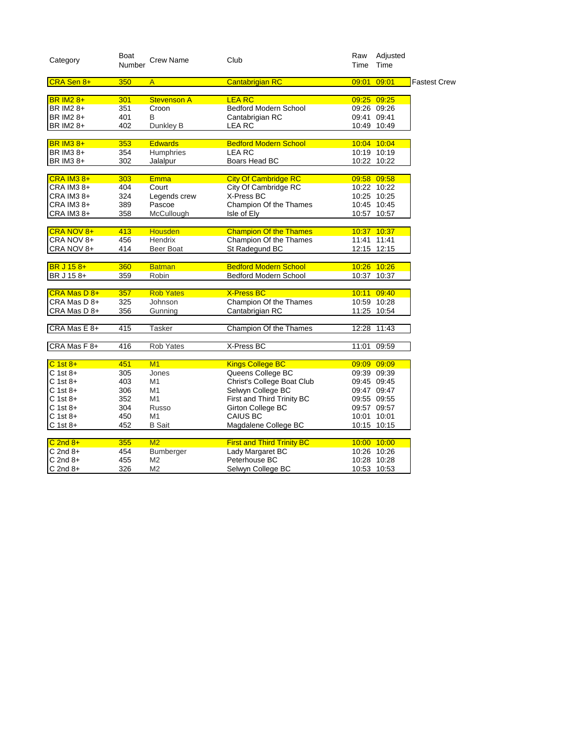| Category          | Boat<br>Number | <b>Crew Name</b>   | Club                              | Raw<br>Time | Adjusted<br>Time |                     |
|-------------------|----------------|--------------------|-----------------------------------|-------------|------------------|---------------------|
| CRA Sen 8+        | 350            | A                  | <b>Cantabrigian RC</b>            | 09:01       | 09:01            | <b>Fastest Crew</b> |
| <b>BR IM2 8+</b>  | 301            | <b>Stevenson A</b> | <b>LEA RC</b>                     |             | 09:25 09:25      |                     |
| BR IM2 8+         | 351            | Croon              | <b>Bedford Modern School</b>      |             | 09:26 09:26      |                     |
| BR IM2 8+         | 401            | B                  | Cantabrigian RC                   |             | 09:41 09:41      |                     |
| BR IM2 8+         | 402            | Dunkley B          | <b>LEA RC</b>                     |             | 10:49 10:49      |                     |
| <b>BR IM3 8+</b>  | 353            | <b>Edwards</b>     | <b>Bedford Modern School</b>      |             | 10:04 10:04      |                     |
| BR IM3 8+         | 354            | Humphries          | LEA RC                            |             | 10:19 10:19      |                     |
| BR IM3 8+         | 302            | Jalalpur           | Boars Head BC                     |             | 10:22 10:22      |                     |
| $CRA$ IM3 $8+$    | 303            | <b>Emma</b>        | <b>City Of Cambridge RC</b>       |             | 09:58 09:58      |                     |
| CRA IM3 8+        | 404            | Court              | City Of Cambridge RC              |             | 10:22 10:22      |                     |
| CRA IM3 8+        | 324            | Legends crew       | X-Press BC                        |             | 10:25 10:25      |                     |
| CRA IM3 8+        | 389            | Pascoe             | Champion Of the Thames            |             | 10:45 10:45      |                     |
| CRA IM3 8+        | 358            | McCullough         | Isle of Ely                       |             | 10:57 10:57      |                     |
| CRA NOV 8+        | 413            | <b>Housden</b>     | <b>Champion Of the Thames</b>     |             | 10:37 10:37      |                     |
| CRA NOV 8+        | 456            | Hendrix            | Champion Of the Thames            |             | 11:41 11:41      |                     |
| CRA NOV 8+        | 414            | Beer Boat          | St Radegund BC                    |             | 12:15 12:15      |                     |
| <b>BR J 15 8+</b> | 360            | <b>Batman</b>      | <b>Bedford Modern School</b>      |             | 10:26 10:26      |                     |
| BR J 15 8+        | 359            | Robin              | Bedford Modern School             |             | 10:37 10:37      |                     |
| CRA Mas D 8+      | 357            | <b>Rob Yates</b>   | <b>X-Press BC</b>                 |             | 10:11 09:40      |                     |
| CRA Mas D 8+      | 325            | Johnson            | Champion Of the Thames            |             | 10:59 10:28      |                     |
| CRA Mas D 8+      | 356            | Gunning            | Cantabrigian RC                   |             | 11:25 10:54      |                     |
| CRA Mas E 8+      | 415            | <b>Tasker</b>      | Champion Of the Thames            |             | 12:28 11:43      |                     |
| CRA Mas F 8+      | 416            | Rob Yates          | X-Press BC                        | 11:01       | 09:59            |                     |
| $C$ 1st $8+$      | 451            | M1                 | <b>Kings College BC</b>           |             | 09:09 09:09      |                     |
| $C$ 1st 8+        | 305            | Jones              | Queens College BC                 |             | 09:39 09:39      |                     |
| $C$ 1st 8+        | 403            | M1                 | Christ's College Boat Club        |             | 09:45 09:45      |                     |
| $C$ 1st 8+        | 306            | M1                 | Selwyn College BC                 |             | 09:47 09:47      |                     |
| C 1st 8+          | 352            | M1                 | First and Third Trinity BC        |             | 09:55 09:55      |                     |
| $C$ 1st 8+        | 304            | Russo              | Girton College BC                 |             | 09:57 09:57      |                     |
| $C$ 1st 8+        | 450            | M1                 | CAIUS BC                          |             | 10:01 10:01      |                     |
| $C$ 1st 8+        | 452            | <b>B</b> Sait      | Magdalene College BC              |             | 10:15 10:15      |                     |
| $C$ 2nd $8+$      | 355            | M2                 | <b>First and Third Trinity BC</b> |             | 10:00 10:00      |                     |
| $C$ 2nd $8+$      | 454            | Bumberger          | Lady Margaret BC                  |             | 10:26 10:26      |                     |
| $C$ 2nd $8+$      | 455            | M2                 | Peterhouse BC                     |             | 10:28 10:28      |                     |
| $C$ 2nd $8+$      | 326            | M <sub>2</sub>     | Selwyn College BC                 |             | 10:53 10:53      |                     |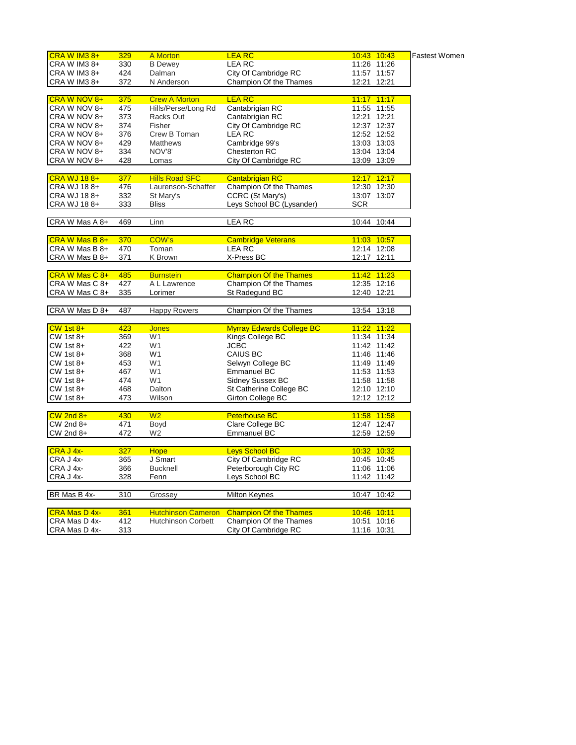| CRA W IM3 8+         | 329 | <b>A</b> Morton           | <b>LEA RC</b>                    | 10:43 10:43    | <b>Fastest Women</b> |
|----------------------|-----|---------------------------|----------------------------------|----------------|----------------------|
| CRA W IM3 8+         | 330 | <b>B</b> Dewey            | <b>LEA RC</b>                    | 11:26 11:26    |                      |
| CRA W IM3 8+         | 424 | Dalman                    | City Of Cambridge RC             | 11:57 11:57    |                      |
| CRA W IM3 8+         | 372 | N Anderson                | Champion Of the Thames           | 12:21 12:21    |                      |
|                      |     |                           |                                  |                |                      |
| CRA W NOV 8+         | 375 | <b>Crew A Morton</b>      | <b>LEA RC</b>                    | 11:17 11:17    |                      |
| CRA W NOV 8+         | 475 | Hills/Perse/Long Rd       | Cantabrigian RC                  | 11:55 11:55    |                      |
| CRA W NOV 8+         | 373 | Racks Out                 | Cantabrigian RC                  | 12:21 12:21    |                      |
| CRA W NOV 8+         | 374 | Fisher                    | City Of Cambridge RC             | 12:37 12:37    |                      |
| CRA W NOV 8+         | 376 | Crew B Toman              | <b>LEARC</b>                     | 12:52 12:52    |                      |
| CRA W NOV 8+         | 429 | <b>Matthews</b>           | Cambridge 99's                   | 13:03 13:03    |                      |
| CRA W NOV 8+         | 334 | NOV'8'                    | Chesterton RC                    | 13:04 13:04    |                      |
| CRA W NOV 8+         | 428 | Lomas                     | City Of Cambridge RC             | 13:09 13:09    |                      |
|                      |     |                           |                                  |                |                      |
| <b>CRA WJ 188+</b>   | 377 | <b>Hills Road SFC</b>     | <b>Cantabrigian RC</b>           | 12:17 12:17    |                      |
| CRA WJ 188+          | 476 | Laurenson-Schaffer        | Champion Of the Thames           | 12:30 12:30    |                      |
| CRA WJ 188+          | 332 | St Mary's                 | CCRC (St Mary's)                 | 13:07 13:07    |                      |
| CRA WJ 188+          | 333 | <b>Bliss</b>              | Leys School BC (Lysander)        | <b>SCR</b>     |                      |
|                      |     |                           |                                  |                |                      |
| CRA W Mas A 8+       | 469 | Linn                      | <b>LEA RC</b>                    | 10:44<br>10:44 |                      |
|                      |     |                           |                                  |                |                      |
| CRA W Mas B 8+       | 370 | <b>COW's</b>              | <b>Cambridge Veterans</b>        | 11:03 10:57    |                      |
| CRA W Mas B 8+       | 470 | Toman                     | <b>LEARC</b>                     | 12:14 12:08    |                      |
| CRA W Mas B 8+       | 371 | K Brown                   | X-Press BC                       | 12:17 12:11    |                      |
|                      |     |                           |                                  |                |                      |
| CRA W Mas C 8+       | 485 | <b>Burnstein</b>          | <b>Champion Of the Thames</b>    | 11:42 11:23    |                      |
| CRA W Mas C 8+       | 427 | A L Lawrence              | Champion Of the Thames           | 12:35 12:16    |                      |
| CRA W Mas C 8+       | 335 | Lorimer                   | St Radegund BC                   | 12:40 12:21    |                      |
|                      |     |                           |                                  |                |                      |
| CRA W Mas D 8+       | 487 | <b>Happy Rowers</b>       | Champion Of the Thames           | 13:54 13:18    |                      |
|                      |     |                           |                                  |                |                      |
| $CW$ 1st $8+$        | 423 | <b>Jones</b>              | <b>Myrray Edwards College BC</b> | 11:22 11:22    |                      |
| $CW$ 1st $8+$        | 369 | W1                        | Kings College BC                 | 11:34 11:34    |                      |
| $CW$ 1st 8+          | 422 | W <sub>1</sub>            | <b>JCBC</b>                      | 11:42 11:42    |                      |
| $CW$ 1st $8+$        | 368 | W <sub>1</sub>            | <b>CAIUS BC</b>                  | 11:46 11:46    |                      |
| $CW$ 1st $8+$        | 453 | W <sub>1</sub>            | Selwyn College BC                | 11:49 11:49    |                      |
| $CW$ 1st 8+          | 467 | W <sub>1</sub>            | <b>Emmanuel BC</b>               | 11:53 11:53    |                      |
| $CW$ 1st $8+$        | 474 | W <sub>1</sub>            | <b>Sidney Sussex BC</b>          | 11:58 11:58    |                      |
| $CW$ 1st $8+$        | 468 | Dalton                    | St Catherine College BC          | 12:10 12:10    |                      |
| CW 1st 8+            | 473 | Wilson                    | <b>Girton College BC</b>         | 12:12 12:12    |                      |
|                      |     |                           |                                  |                |                      |
| $CW$ 2nd $8+$        | 430 | W <sub>2</sub>            | <b>Peterhouse BC</b>             | 11:58 11:58    |                      |
| $CW$ 2nd $8+$        | 471 | Boyd                      | Clare College BC                 | 12:47 12:47    |                      |
| CW 2nd 8+            | 472 | W <sub>2</sub>            | <b>Emmanuel BC</b>               | 12:59 12:59    |                      |
|                      |     |                           |                                  |                |                      |
| CRA J 4x-            | 327 |                           | <b>Leys School BC</b>            | 10:32 10:32    |                      |
| CRA J 4x-            | 365 | <b>Hope</b><br>J Smart    | City Of Cambridge RC             | 10:45 10:45    |                      |
| CRA J 4x-            | 366 | <b>Bucknell</b>           | Peterborough City RC             | 11:06 11:06    |                      |
|                      |     |                           |                                  |                |                      |
| CRA J 4x-            | 328 | Fenn                      | Leys School BC                   | 11:42 11:42    |                      |
|                      |     |                           |                                  |                |                      |
| BR Mas B 4x-         | 310 | Grossey                   | Milton Keynes                    | 10:47<br>10:42 |                      |
|                      |     |                           |                                  |                |                      |
| <b>CRA Mas D 4x-</b> | 361 | <b>Hutchinson Cameron</b> | <b>Champion Of the Thames</b>    | 10:46 10:11    |                      |
| CRA Mas D 4x-        | 412 | <b>Hutchinson Corbett</b> | Champion Of the Thames           | 10:51 10:16    |                      |
| CRA Mas D 4x-        | 313 |                           | City Of Cambridge RC             | 11:16 10:31    |                      |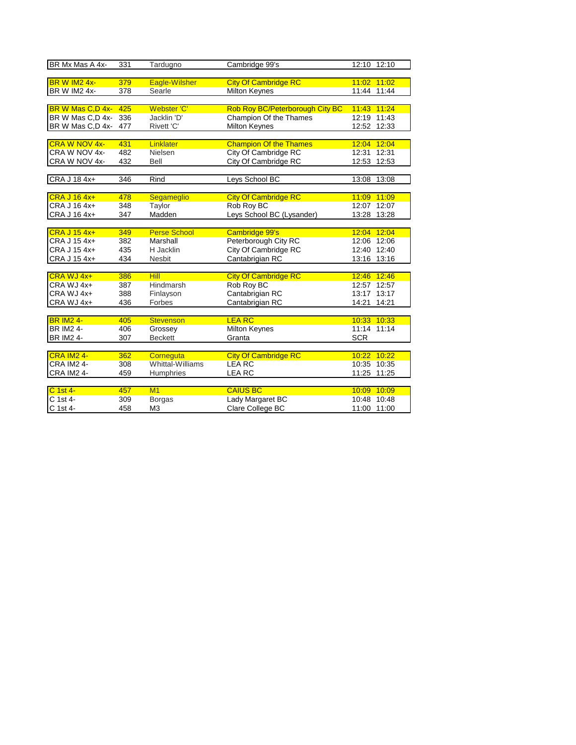| BR Mx Mas A 4x-          | 331 | Tardugno            | Cambridge 99's                  | 12:10 12:10 |             |
|--------------------------|-----|---------------------|---------------------------------|-------------|-------------|
|                          |     |                     |                                 |             |             |
| BR W IM <sub>2</sub> 4x- | 379 | Eagle-Wilsher       | <b>City Of Cambridge RC</b>     |             | 11:02 11:02 |
| BR W IM2 4x-             | 378 | Searle              | <b>Milton Keynes</b>            |             | 11:44 11:44 |
|                          |     |                     |                                 |             |             |
| BR W Mas C,D 4x-         | 425 | Webster 'C'         | Rob Roy BC/Peterborough City BC | 11:43 11:24 |             |
| BR W Mas C,D 4x-         | 336 | Jacklin 'D'         | Champion Of the Thames          |             | 12:19 11:43 |
| BR W Mas C,D 4x-         | 477 | Rivett 'C'          | <b>Milton Keynes</b>            |             | 12:52 12:33 |
|                          |     |                     |                                 |             |             |
| <b>CRA W NOV 4x-</b>     | 431 | Linklater           | <b>Champion Of the Thames</b>   | 12:04       | 12:04       |
| CRA W NOV 4x-            | 482 | Nielsen             | City Of Cambridge RC            | 12:31       | 12:31       |
| CRA W NOV 4x-            | 432 | Bell                | City Of Cambridge RC            | 12:53 12:53 |             |
|                          |     |                     |                                 |             |             |
| CRA J 18 4x+             | 346 | Rind                | Leys School BC                  | 13:08 13:08 |             |
|                          |     |                     |                                 |             |             |
| CRA J 16 4x+             | 478 | Segameglio          | <b>City Of Cambridge RC</b>     | 11:09 11:09 |             |
| CRA J 16 4x+             | 348 | Taylor              | Rob Roy BC                      |             | 12:07 12:07 |
| CRA J 16 4x+             | 347 | Madden              | Leys School BC (Lysander)       |             | 13:28 13:28 |
|                          |     |                     |                                 |             |             |
| CRA J 15 4x+             | 349 | <b>Perse School</b> | <b>Cambridge 99's</b>           | 12:04 12:04 |             |
| CRA J 15 4x+             | 382 | Marshall            | Peterborough City RC            |             | 12:06 12:06 |
| CRA J 15 4x+             | 435 | H Jacklin           | City Of Cambridge RC            |             | 12:40 12:40 |
| CRA J 15 4x+             | 434 | Nesbit              | Cantabrigian RC                 |             | 13:16 13:16 |
|                          |     |                     |                                 |             |             |
| CRA WJ 4x+               | 386 | <b>Hill</b>         | <b>City Of Cambridge RC</b>     | 12:46 12:46 |             |
| CRA WJ 4x+               | 387 | <b>Hindmarsh</b>    | Rob Roy BC                      |             | 12:57 12:57 |
| CRA WJ 4x+               | 388 | Finlayson           | Cantabrigian RC                 |             | 13:17 13:17 |
| CRA WJ 4x+               | 436 | Forbes              | Cantabrigian RC                 | 14:21       | 14:21       |
|                          |     |                     |                                 |             |             |
| <b>BR IM2 4-</b>         | 405 | <b>Stevenson</b>    | <b>LEA RC</b>                   | 10:33 10:33 |             |
| <b>BR IM2 4-</b>         | 406 | Grossey             | Milton Keynes                   |             | 11:14 11:14 |
| <b>BR IM2 4-</b>         | 307 | <b>Beckett</b>      | Granta                          | <b>SCR</b>  |             |
|                          |     |                     |                                 |             |             |
| <b>CRA IM2 4-</b>        | 362 | Corneguta           | <b>City Of Cambridge RC</b>     |             | 10:22 10:22 |
| CRA IM24-                | 308 | Whittal-Williams    | <b>LEARC</b>                    |             | 10:35 10:35 |
| <b>CRA IM2 4-</b>        | 459 | Humphries           | <b>LEA RC</b>                   |             | 11:25 11:25 |
|                          |     |                     |                                 |             |             |
| C 1st 4-                 | 457 | M1                  | <b>CAIUS BC</b>                 | 10:09 10:09 |             |
| C 1st 4-                 | 309 | <b>Borgas</b>       | Lady Margaret BC                |             | 10:48 10:48 |
| C 1st 4-                 | 458 | M <sub>3</sub>      | Clare College BC                | 11:00 11:00 |             |